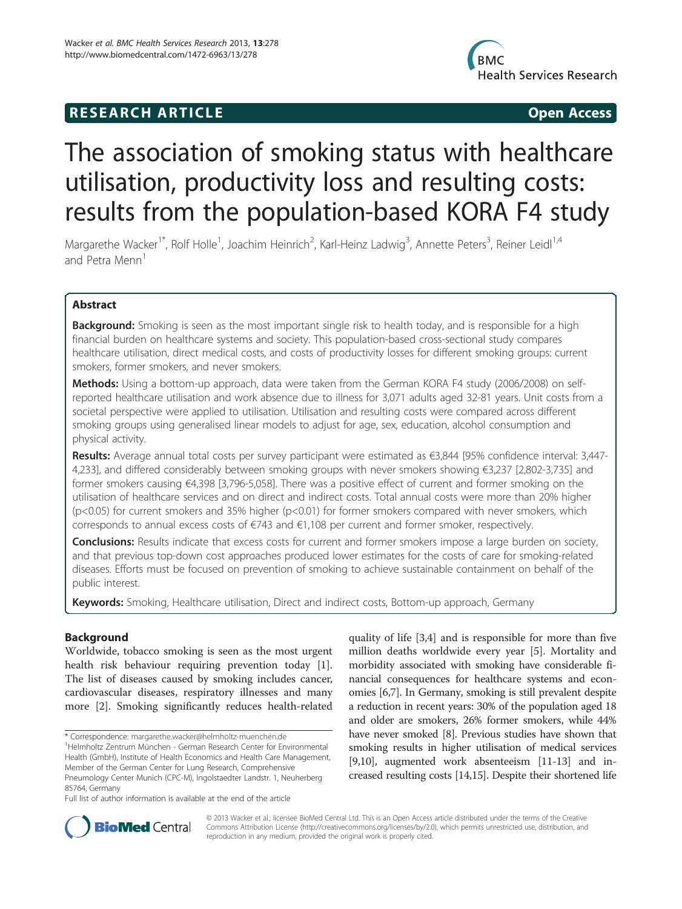# R E S EAR CH A R TIC L E Open Access



# The association of smoking status with healthcare utilisation, productivity loss and resulting costs: results from the population-based KORA F4 study

Margarethe Wacker<sup>1\*</sup>, Rolf Holle<sup>1</sup>, Joachim Heinrich<sup>2</sup>, Karl-Heinz Ladwig<sup>3</sup>, Annette Peters<sup>3</sup>, Reiner Leidl<sup>1,4</sup> and Petra Menn<sup>1</sup>

# Abstract

Background: Smoking is seen as the most important single risk to health today, and is responsible for a high financial burden on healthcare systems and society. This population-based cross-sectional study compares healthcare utilisation, direct medical costs, and costs of productivity losses for different smoking groups: current smokers, former smokers, and never smokers.

Methods: Using a bottom-up approach, data were taken from the German KORA F4 study (2006/2008) on selfreported healthcare utilisation and work absence due to illness for 3,071 adults aged 32-81 years. Unit costs from a societal perspective were applied to utilisation. Utilisation and resulting costs were compared across different smoking groups using generalised linear models to adjust for age, sex, education, alcohol consumption and physical activity.

Results: Average annual total costs per survey participant were estimated as €3,844 [95% confidence interval: 3,447-4,233], and differed considerably between smoking groups with never smokers showing €3,237 [2,802-3,735] and former smokers causing €4,398 [3,796-5,058]. There was a positive effect of current and former smoking on the utilisation of healthcare services and on direct and indirect costs. Total annual costs were more than 20% higher  $(p<0.05)$  for current smokers and 35% higher ( $p<0.01$ ) for former smokers compared with never smokers, which corresponds to annual excess costs of €743 and €1,108 per current and former smoker, respectively.

**Conclusions:** Results indicate that excess costs for current and former smokers impose a large burden on society, and that previous top-down cost approaches produced lower estimates for the costs of care for smoking-related diseases. Efforts must be focused on prevention of smoking to achieve sustainable containment on behalf of the public interest.

Keywords: Smoking, Healthcare utilisation, Direct and indirect costs, Bottom-up approach, Germany

# **Background**

Worldwide, tobacco smoking is seen as the most urgent health risk behaviour requiring prevention today [\[1](#page-7-0)]. The list of diseases caused by smoking includes cancer, cardiovascular diseases, respiratory illnesses and many more [[2\]](#page-7-0). Smoking significantly reduces health-related

quality of life [\[3,4](#page-7-0)] and is responsible for more than five million deaths worldwide every year [\[5](#page-7-0)]. Mortality and morbidity associated with smoking have considerable financial consequences for healthcare systems and economies [\[6,7](#page-7-0)]. In Germany, smoking is still prevalent despite a reduction in recent years: 30% of the population aged 18 and older are smokers, 26% former smokers, while 44% have never smoked [\[8](#page-7-0)]. Previous studies have shown that smoking results in higher utilisation of medical services [[9,10](#page-7-0)], augmented work absenteeism [\[11-13\]](#page-7-0) and increased resulting costs [[14,15\]](#page-7-0). Despite their shortened life



© 2013 Wacker et al.; licensee BioMed Central Ltd. This is an Open Access article distributed under the terms of the Creative Commons Attribution License [\(http://creativecommons.org/licenses/by/2.0\)](http://creativecommons.org/licenses/by/2.0), which permits unrestricted use, distribution, and reproduction in any medium, provided the original work is properly cited.

<sup>\*</sup> Correspondence: [margarethe.wacker@helmholtz-muenchen.de](mailto:margarethe.wacker@helmholtz-muenchen.de) <sup>1</sup>

<sup>&</sup>lt;sup>1</sup>Helmholtz Zentrum München - German Research Center for Environmental Health (GmbH), Institute of Health Economics and Health Care Management, Member of the German Center for Lung Research, Comprehensive Pneumology Center Munich (CPC-M), Ingolstaedter Landstr. 1, Neuherberg

<sup>85764,</sup> Germany Full list of author information is available at the end of the article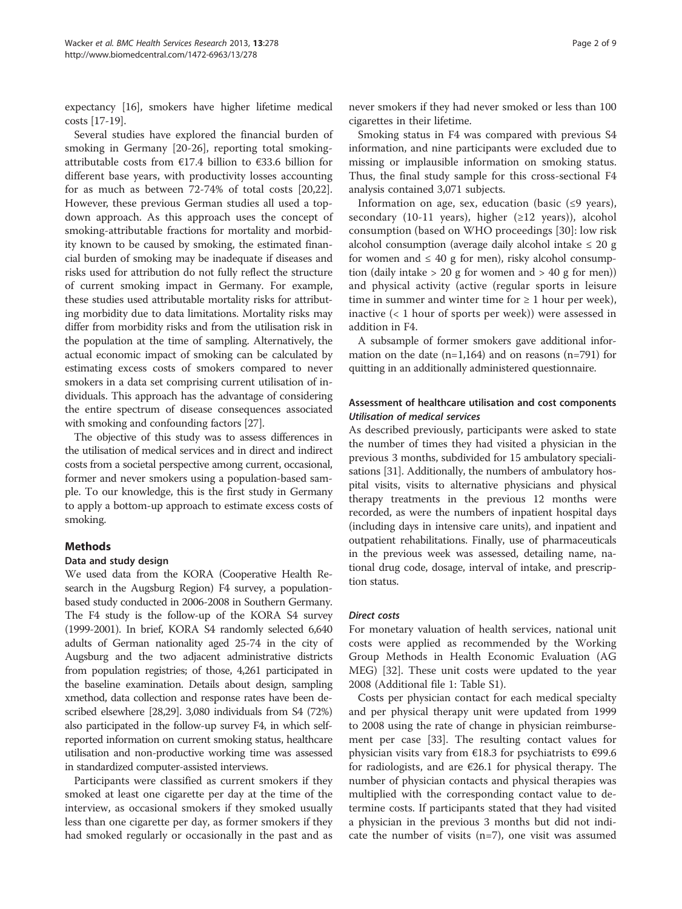expectancy [[16](#page-7-0)], smokers have higher lifetime medical costs [\[17-19\]](#page-7-0).

Several studies have explored the financial burden of smoking in Germany [[20-](#page-7-0)[26](#page-8-0)], reporting total smokingattributable costs from €17.4 billion to €33.6 billion for different base years, with productivity losses accounting for as much as between 72-74% of total costs [\[20](#page-7-0)[,22](#page-8-0)]. However, these previous German studies all used a topdown approach. As this approach uses the concept of smoking-attributable fractions for mortality and morbidity known to be caused by smoking, the estimated financial burden of smoking may be inadequate if diseases and risks used for attribution do not fully reflect the structure of current smoking impact in Germany. For example, these studies used attributable mortality risks for attributing morbidity due to data limitations. Mortality risks may differ from morbidity risks and from the utilisation risk in the population at the time of sampling. Alternatively, the actual economic impact of smoking can be calculated by estimating excess costs of smokers compared to never smokers in a data set comprising current utilisation of individuals. This approach has the advantage of considering the entire spectrum of disease consequences associated with smoking and confounding factors [\[27](#page-8-0)].

The objective of this study was to assess differences in the utilisation of medical services and in direct and indirect costs from a societal perspective among current, occasional, former and never smokers using a population-based sample. To our knowledge, this is the first study in Germany to apply a bottom-up approach to estimate excess costs of smoking.

# Methods

#### Data and study design

We used data from the KORA (Cooperative Health Research in the Augsburg Region) F4 survey, a populationbased study conducted in 2006-2008 in Southern Germany. The F4 study is the follow-up of the KORA S4 survey (1999-2001). In brief, KORA S4 randomly selected 6,640 adults of German nationality aged 25-74 in the city of Augsburg and the two adjacent administrative districts from population registries; of those, 4,261 participated in the baseline examination. Details about design, sampling xmethod, data collection and response rates have been described elsewhere [\[28,29\]](#page-8-0). 3,080 individuals from S4 (72%) also participated in the follow-up survey F4, in which selfreported information on current smoking status, healthcare utilisation and non-productive working time was assessed in standardized computer-assisted interviews.

Participants were classified as current smokers if they smoked at least one cigarette per day at the time of the interview, as occasional smokers if they smoked usually less than one cigarette per day, as former smokers if they had smoked regularly or occasionally in the past and as cigarettes in their lifetime. Smoking status in F4 was compared with previous S4 information, and nine participants were excluded due to missing or implausible information on smoking status. Thus, the final study sample for this cross-sectional F4 analysis contained 3,071 subjects.

never smokers if they had never smoked or less than 100

Information on age, sex, education (basic  $(≤9$  years), secondary (10-11 years), higher  $(\geq 12$  years)), alcohol consumption (based on WHO proceedings [[30\]](#page-8-0): low risk alcohol consumption (average daily alcohol intake  $\leq 20$  g for women and  $\leq 40$  g for men), risky alcohol consumption (daily intake  $> 20$  g for women and  $> 40$  g for men)) and physical activity (active (regular sports in leisure time in summer and winter time for  $\geq 1$  hour per week), inactive (< 1 hour of sports per week)) were assessed in addition in F4.

A subsample of former smokers gave additional information on the date  $(n=1,164)$  and on reasons  $(n=791)$  for quitting in an additionally administered questionnaire.

# Assessment of healthcare utilisation and cost components Utilisation of medical services

As described previously, participants were asked to state the number of times they had visited a physician in the previous 3 months, subdivided for 15 ambulatory specialisations [\[31\]](#page-8-0). Additionally, the numbers of ambulatory hospital visits, visits to alternative physicians and physical therapy treatments in the previous 12 months were recorded, as were the numbers of inpatient hospital days (including days in intensive care units), and inpatient and outpatient rehabilitations. Finally, use of pharmaceuticals in the previous week was assessed, detailing name, national drug code, dosage, interval of intake, and prescription status.

#### Direct costs

For monetary valuation of health services, national unit costs were applied as recommended by the Working Group Methods in Health Economic Evaluation (AG MEG) [\[32](#page-8-0)]. These unit costs were updated to the year 2008 (Additional file [1:](#page-7-0) Table S1).

Costs per physician contact for each medical specialty and per physical therapy unit were updated from 1999 to 2008 using the rate of change in physician reimbursement per case [[33](#page-8-0)]. The resulting contact values for physician visits vary from €18.3 for psychiatrists to €99.6 for radiologists, and are  $\epsilon$ 26.1 for physical therapy. The number of physician contacts and physical therapies was multiplied with the corresponding contact value to determine costs. If participants stated that they had visited a physician in the previous 3 months but did not indicate the number of visits  $(n=7)$ , one visit was assumed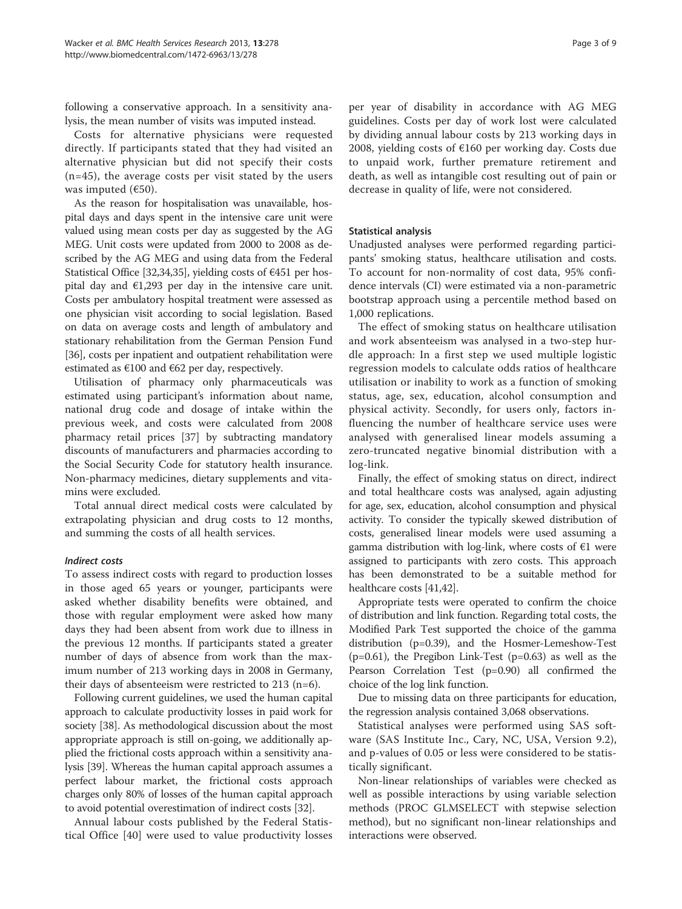following a conservative approach. In a sensitivity analysis, the mean number of visits was imputed instead.

Costs for alternative physicians were requested directly. If participants stated that they had visited an alternative physician but did not specify their costs (n=45), the average costs per visit stated by the users was imputed  $(650)$ .

As the reason for hospitalisation was unavailable, hospital days and days spent in the intensive care unit were valued using mean costs per day as suggested by the AG MEG. Unit costs were updated from 2000 to 2008 as described by the AG MEG and using data from the Federal Statistical Office [[32,34,35](#page-8-0)], yielding costs of  $\epsilon$ 451 per hospital day and  $E1,293$  per day in the intensive care unit. Costs per ambulatory hospital treatment were assessed as one physician visit according to social legislation. Based on data on average costs and length of ambulatory and stationary rehabilitation from the German Pension Fund [[36](#page-8-0)], costs per inpatient and outpatient rehabilitation were estimated as  $€100$  and  $€62$  per day, respectively.

Utilisation of pharmacy only pharmaceuticals was estimated using participant's information about name, national drug code and dosage of intake within the previous week, and costs were calculated from 2008 pharmacy retail prices [[37](#page-8-0)] by subtracting mandatory discounts of manufacturers and pharmacies according to the Social Security Code for statutory health insurance. Non-pharmacy medicines, dietary supplements and vitamins were excluded.

Total annual direct medical costs were calculated by extrapolating physician and drug costs to 12 months, and summing the costs of all health services.

### Indirect costs

To assess indirect costs with regard to production losses in those aged 65 years or younger, participants were asked whether disability benefits were obtained, and those with regular employment were asked how many days they had been absent from work due to illness in the previous 12 months. If participants stated a greater number of days of absence from work than the maximum number of 213 working days in 2008 in Germany, their days of absenteeism were restricted to 213 (n=6).

Following current guidelines, we used the human capital approach to calculate productivity losses in paid work for society [[38](#page-8-0)]. As methodological discussion about the most appropriate approach is still on-going, we additionally applied the frictional costs approach within a sensitivity analysis [\[39\]](#page-8-0). Whereas the human capital approach assumes a perfect labour market, the frictional costs approach charges only 80% of losses of the human capital approach to avoid potential overestimation of indirect costs [\[32\]](#page-8-0).

Annual labour costs published by the Federal Statistical Office [[40\]](#page-8-0) were used to value productivity losses

per year of disability in accordance with AG MEG guidelines. Costs per day of work lost were calculated by dividing annual labour costs by 213 working days in 2008, yielding costs of €160 per working day. Costs due to unpaid work, further premature retirement and death, as well as intangible cost resulting out of pain or decrease in quality of life, were not considered.

# Statistical analysis

Unadjusted analyses were performed regarding participants' smoking status, healthcare utilisation and costs. To account for non-normality of cost data, 95% confidence intervals (CI) were estimated via a non-parametric bootstrap approach using a percentile method based on 1,000 replications.

The effect of smoking status on healthcare utilisation and work absenteeism was analysed in a two-step hurdle approach: In a first step we used multiple logistic regression models to calculate odds ratios of healthcare utilisation or inability to work as a function of smoking status, age, sex, education, alcohol consumption and physical activity. Secondly, for users only, factors influencing the number of healthcare service uses were analysed with generalised linear models assuming a zero-truncated negative binomial distribution with a log-link.

Finally, the effect of smoking status on direct, indirect and total healthcare costs was analysed, again adjusting for age, sex, education, alcohol consumption and physical activity. To consider the typically skewed distribution of costs, generalised linear models were used assuming a gamma distribution with log-link, where costs of  $\epsilon$ 1 were assigned to participants with zero costs. This approach has been demonstrated to be a suitable method for healthcare costs [\[41,42](#page-8-0)].

Appropriate tests were operated to confirm the choice of distribution and link function. Regarding total costs, the Modified Park Test supported the choice of the gamma distribution (p=0.39), and the Hosmer-Lemeshow-Test  $(p=0.61)$ , the Pregibon Link-Test  $(p=0.63)$  as well as the Pearson Correlation Test (p=0.90) all confirmed the choice of the log link function.

Due to missing data on three participants for education, the regression analysis contained 3,068 observations.

Statistical analyses were performed using SAS software (SAS Institute Inc., Cary, NC, USA, Version 9.2), and p-values of 0.05 or less were considered to be statistically significant.

Non-linear relationships of variables were checked as well as possible interactions by using variable selection methods (PROC GLMSELECT with stepwise selection method), but no significant non-linear relationships and interactions were observed.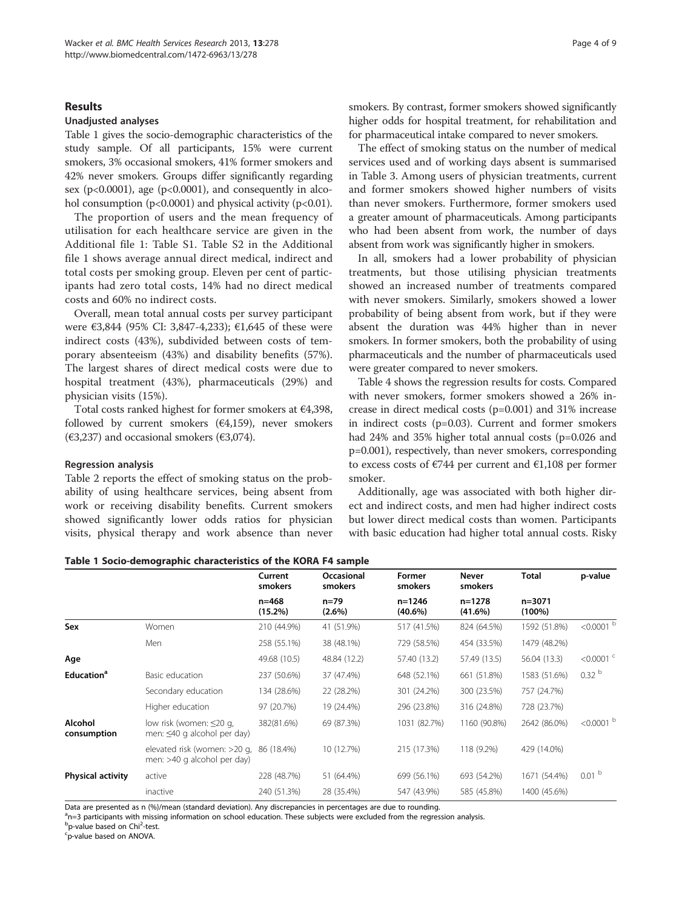### Results

### Unadjusted analyses

Table 1 gives the socio-demographic characteristics of the study sample. Of all participants, 15% were current smokers, 3% occasional smokers, 41% former smokers and 42% never smokers. Groups differ significantly regarding sex ( $p<0.0001$ ), age ( $p<0.0001$ ), and consequently in alcohol consumption ( $p<0.0001$ ) and physical activity ( $p<0.01$ ).

The proportion of users and the mean frequency of utilisation for each healthcare service are given in the Additional file [1:](#page-7-0) Table S1. Table S2 in the Additional file [1](#page-7-0) shows average annual direct medical, indirect and total costs per smoking group. Eleven per cent of participants had zero total costs, 14% had no direct medical costs and 60% no indirect costs.

Overall, mean total annual costs per survey participant were €3,844 (95% CI: 3,847-4,233); €1,645 of these were indirect costs (43%), subdivided between costs of temporary absenteeism (43%) and disability benefits (57%). The largest shares of direct medical costs were due to hospital treatment (43%), pharmaceuticals (29%) and physician visits (15%).

Total costs ranked highest for former smokers at €4,398, followed by current smokers  $(64,159)$ , never smokers ( $\epsilon$ 3,237) and occasional smokers ( $\epsilon$ 3,074).

#### Regression analysis

Table [2](#page-4-0) reports the effect of smoking status on the probability of using healthcare services, being absent from work or receiving disability benefits. Current smokers showed significantly lower odds ratios for physician visits, physical therapy and work absence than never

smokers. By contrast, former smokers showed significantly higher odds for hospital treatment, for rehabilitation and for pharmaceutical intake compared to never smokers.

The effect of smoking status on the number of medical services used and of working days absent is summarised in Table [3](#page-4-0). Among users of physician treatments, current and former smokers showed higher numbers of visits than never smokers. Furthermore, former smokers used a greater amount of pharmaceuticals. Among participants who had been absent from work, the number of days absent from work was significantly higher in smokers.

In all, smokers had a lower probability of physician treatments, but those utilising physician treatments showed an increased number of treatments compared with never smokers. Similarly, smokers showed a lower probability of being absent from work, but if they were absent the duration was 44% higher than in never smokers. In former smokers, both the probability of using pharmaceuticals and the number of pharmaceuticals used were greater compared to never smokers.

Table [4](#page-5-0) shows the regression results for costs. Compared with never smokers, former smokers showed a 26% increase in direct medical costs (p=0.001) and 31% increase in indirect costs (p=0.03). Current and former smokers had 24% and 35% higher total annual costs (p=0.026 and p=0.001), respectively, than never smokers, corresponding to excess costs of €744 per current and €1,108 per former smoker.

Additionally, age was associated with both higher direct and indirect costs, and men had higher indirect costs but lower direct medical costs than women. Participants with basic education had higher total annual costs. Risky

|                        |                                                              | Current<br>smokers      | Occasional<br>smokers | Former<br>smokers        | Never<br>smokers         | <b>Total</b>            | p-value              |
|------------------------|--------------------------------------------------------------|-------------------------|-----------------------|--------------------------|--------------------------|-------------------------|----------------------|
|                        |                                                              | $n = 468$<br>$(15.2\%)$ | $n = 79$<br>$(2.6\%)$ | $n = 1246$<br>$(40.6\%)$ | $n = 1278$<br>$(41.6\%)$ | $n = 3071$<br>$(100\%)$ |                      |
| Sex                    | Women                                                        | 210 (44.9%)             | 41 (51.9%)            | 517 (41.5%)              | 824 (64.5%)              | 1592 (51.8%)            | $< 0.0001$ b         |
|                        | Men                                                          | 258 (55.1%)             | 38 (48.1%)            | 729 (58.5%)              | 454 (33.5%)              | 1479 (48.2%)            |                      |
| Age                    |                                                              | 49.68 (10.5)            | 48.84 (12.2)          | 57.40 (13.2)             | 57.49 (13.5)             | 56.04 (13.3)            | $<$ 0.0001 $\degree$ |
| Education <sup>a</sup> | Basic education                                              | 237 (50.6%)             | 37 (47.4%)            | 648 (52.1%)              | 661 (51.8%)              | 1583 (51.6%)            | 0.32 <sup>b</sup>    |
|                        | Secondary education                                          | 134 (28.6%)             | 22 (28.2%)            | 301 (24.2%)              | 300 (23.5%)              | 757 (24.7%)             |                      |
|                        | Higher education                                             | 97 (20.7%)              | 19 (24.4%)            | 296 (23.8%)              | 316 (24.8%)              | 728 (23.7%)             |                      |
| Alcohol<br>consumption | low risk (women: ≤20 g,<br>men: $\leq 40$ g alcohol per day) | 382(81.6%)              | 69 (87.3%)            | 1031 (82.7%)             | 1160 (90.8%)             | 2642 (86.0%)            | $< 0.0001$ b         |
|                        | elevated risk (women: >20 g,<br>men: >40 g alcohol per day)  | 86 (18.4%)              | 10 (12.7%)            | 215 (17.3%)              | 118 (9.2%)               | 429 (14.0%)             |                      |
| Physical activity      | active                                                       | 228 (48.7%)             | 51 (64.4%)            | 699 (56.1%)              | 693 (54.2%)              | 1671 (54.4%)            | 0.01 <sup>b</sup>    |
|                        | inactive                                                     | 240 (51.3%)             | 28 (35.4%)            | 547 (43.9%)              | 585 (45.8%)              | 1400 (45.6%)            |                      |

Table 1 Socio-demographic characteristics of the KORA F4 sample

Data are presented as n (%)/mean (standard deviation). Any discrepancies in percentages are due to rounding.

<sup>a</sup>n=3 participants with missing information on school education. These subjects were excluded from the regression analysis.

b<br>
p-value based on Chi<sup>2</sup>-test.<br>
<sup>C</sup>D-value based on ANOVA

p-value based on ANOVA.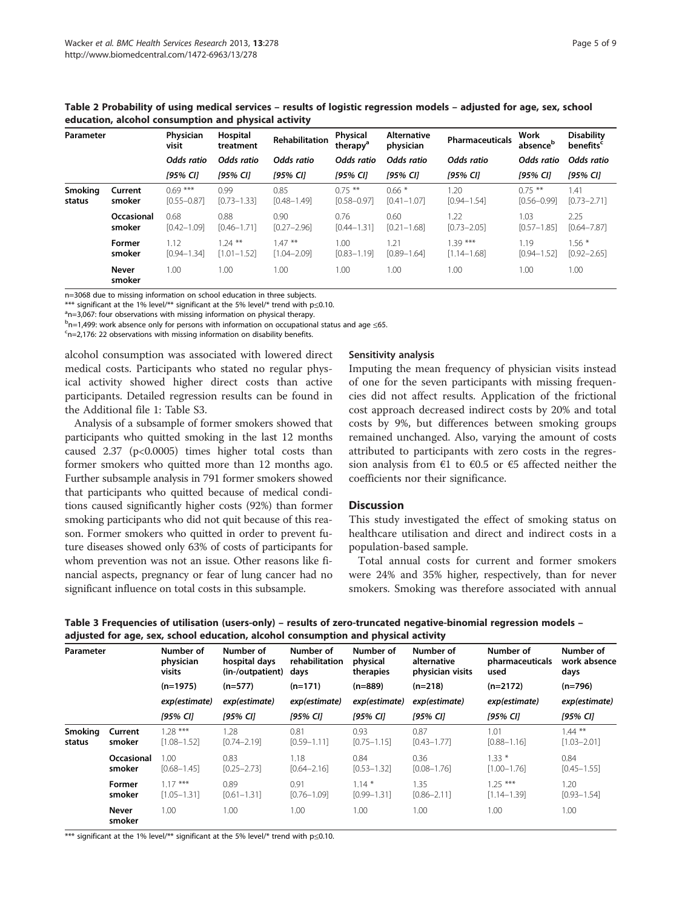<span id="page-4-0"></span>Table 2 Probability of using medical services – results of logistic regression models – adjusted for age, sex, school education, alcohol consumption and physical activity

| Parameter                |                        | <b>Physician</b><br>visit    | Hospital<br>treatment       | <b>Rehabilitation</b>        | Physical<br>therapy <sup>a</sup> | <b>Alternative</b><br>physician | <b>Pharmaceuticals</b>       | Work<br>absence <sup>b</sup> | <b>Disability</b><br>benefits <sup>c</sup> |
|--------------------------|------------------------|------------------------------|-----------------------------|------------------------------|----------------------------------|---------------------------------|------------------------------|------------------------------|--------------------------------------------|
|                          |                        | Odds ratio                   | Odds ratio                  | Odds ratio                   | Odds ratio                       | Odds ratio                      | Odds ratio                   | Odds ratio                   | Odds ratio                                 |
|                          |                        | [95% CI]                     | [95% CI]                    | [95% CI]                     | [95% CI]                         | [95% CI]                        | [95% CI]                     | [95% CI]                     | [95% CI]                                   |
| <b>Smoking</b><br>status | Current<br>smoker      | $0.69***$<br>$[0.55 - 0.87]$ | 0.99<br>$[0.73 - 1.33]$     | 0.85<br>$[0.48 - 1.49]$      | $0.75***$<br>$[0.58 - 0.97]$     | $0.66*$<br>$[0.41 - 1.07]$      | 1.20<br>$[0.94 - 1.54]$      | $0.75$ **<br>$[0.56 - 0.99]$ | 1.41<br>$[0.73 - 2.71]$                    |
|                          | Occasional<br>smoker   | 0.68<br>$[0.42 - 1.09]$      | 0.88<br>$[0.46 - 1.71]$     | 0.90<br>$[0.27 - 2.96]$      | 0.76<br>$[0.44 - 1.31]$          | 0.60<br>$[0.21 - 1.68]$         | 1.22<br>$[0.73 - 2.05]$      | 1.03<br>$[0.57 - 1.85]$      | 2.25<br>$[0.64 - 7.87]$                    |
|                          | Former<br>smoker       | 1.12<br>$[0.94 - 1.34]$      | $.24***$<br>$[1.01 - 1.52]$ | $1.47***$<br>$[1.04 - 2.09]$ | 1.00<br>$[0.83 - 1.19]$          | 1.21<br>$[0.89 - 1.64]$         | $1.39***$<br>$[1.14 - 1.68]$ | 1.19<br>$[0.94 - 1.52]$      | $1.56*$<br>$[0.92 - 2.65]$                 |
|                          | <b>Never</b><br>smoker | 1.00                         | 1.00                        | 1.00                         | 1.00                             | 1.00                            | 1.00                         | 1.00                         | 1.00                                       |

n=3068 due to missing information on school education in three subjects.

\*\*\* significant at the 1% level/\*\* significant at the 5% level/\* trend with p≤0.10.

a<sub>n=3,067</sub>: four observations with missing information on physical therapy.

 $b$ n=1,499: work absence only for persons with information on occupational status and age ≤65.<br>Sn−2,176: 22 observations with missing information on disability benefits

 $c$ n=2,176: 22 observations with missing information on disability benefits.

alcohol consumption was associated with lowered direct medical costs. Participants who stated no regular physical activity showed higher direct costs than active participants. Detailed regression results can be found in the Additional file [1:](#page-7-0) Table S3.

Analysis of a subsample of former smokers showed that participants who quitted smoking in the last 12 months caused 2.37 (p<0.0005) times higher total costs than former smokers who quitted more than 12 months ago. Further subsample analysis in 791 former smokers showed that participants who quitted because of medical conditions caused significantly higher costs (92%) than former smoking participants who did not quit because of this reason. Former smokers who quitted in order to prevent future diseases showed only 63% of costs of participants for whom prevention was not an issue. Other reasons like financial aspects, pregnancy or fear of lung cancer had no significant influence on total costs in this subsample.

#### Sensitivity analysis

Imputing the mean frequency of physician visits instead of one for the seven participants with missing frequencies did not affect results. Application of the frictional cost approach decreased indirect costs by 20% and total costs by 9%, but differences between smoking groups remained unchanged. Also, varying the amount of costs attributed to participants with zero costs in the regression analysis from  $\epsilon$ 1 to  $\epsilon$ 0.5 or  $\epsilon$ 5 affected neither the coefficients nor their significance.

#### **Discussion**

This study investigated the effect of smoking status on healthcare utilisation and direct and indirect costs in a population-based sample.

Total annual costs for current and former smokers were 24% and 35% higher, respectively, than for never smokers. Smoking was therefore associated with annual

| Table 3 Frequencies of utilisation (users-only) – results of zero-truncated negative-binomial regression models - |  |
|-------------------------------------------------------------------------------------------------------------------|--|
| adjusted for age, sex, school education, alcohol consumption and physical activity                                |  |

| Parameter                |                      | Number of<br>physician<br>visits | Number of<br>hospital days<br>(in-/outpatient) | Number of<br>rehabilitation<br>days | Number of<br>physical<br>therapies | Number of<br>alternative<br>physician visits | Number of<br>pharmaceuticals<br>used | Number of<br>work absence<br>days |
|--------------------------|----------------------|----------------------------------|------------------------------------------------|-------------------------------------|------------------------------------|----------------------------------------------|--------------------------------------|-----------------------------------|
|                          |                      | $(n=1975)$                       | $(n=577)$                                      | $(n=171)$                           | $(n=889)$                          | $(n=218)$                                    | $(n=2172)$                           | $(n=796)$                         |
|                          |                      | exp(estimate)                    | exp(estimate)                                  | exp(estimate)                       | exp(estimate)                      | exp(estimate)                                | exp(estimate)                        | exp(estimate)                     |
|                          |                      | [95% CI]                         | [95% CI]                                       | [95% CI]                            | [95% CI]                           | [95% CI]                                     | [95% CI]                             | [95% CI]                          |
| <b>Smoking</b><br>status | Current<br>smoker    | $1.28***$<br>$[1.08 - 1.52]$     | 1.28<br>$[0.74 - 2.19]$                        | 0.81<br>$[0.59 - 1.11]$             | 0.93<br>$[0.75 - 1.15]$            | 0.87<br>$[0.43 - 1.77]$                      | 1.01<br>$[0.88 - 1.16]$              | $1.44$ **<br>$[1.03 - 2.01]$      |
|                          | Occasional<br>smoker | 1.00<br>$[0.68 - 1.45]$          | 0.83<br>$[0.25 - 2.73]$                        | 1.18<br>$[0.64 - 2.16]$             | 0.84<br>$[0.53 - 1.32]$            | 0.36<br>$[0.08 - 1.76]$                      | $1.33*$<br>$[1.00 - 1.76]$           | 0.84<br>$[0.45 - 1.55]$           |
|                          | Former<br>smoker     | $1.17***$<br>$[1.05 - 1.31]$     | 0.89<br>$[0.61 - 1.31]$                        | 0.91<br>$[0.76 - 1.09]$             | $1.14*$<br>$[0.99 - 1.31]$         | 1.35<br>$[0.86 - 2.11]$                      | $1.25***$<br>$[1.14 - 1.39]$         | 1.20<br>$[0.93 - 1.54]$           |
|                          | Never<br>smoker      | 1.00                             | 1.00                                           | 1.00                                | 1.00                               | 1.00                                         | 1.00                                 | 1.00                              |

\*\*\* significant at the 1% level/\*\* significant at the 5% level/\* trend with p≤0.10.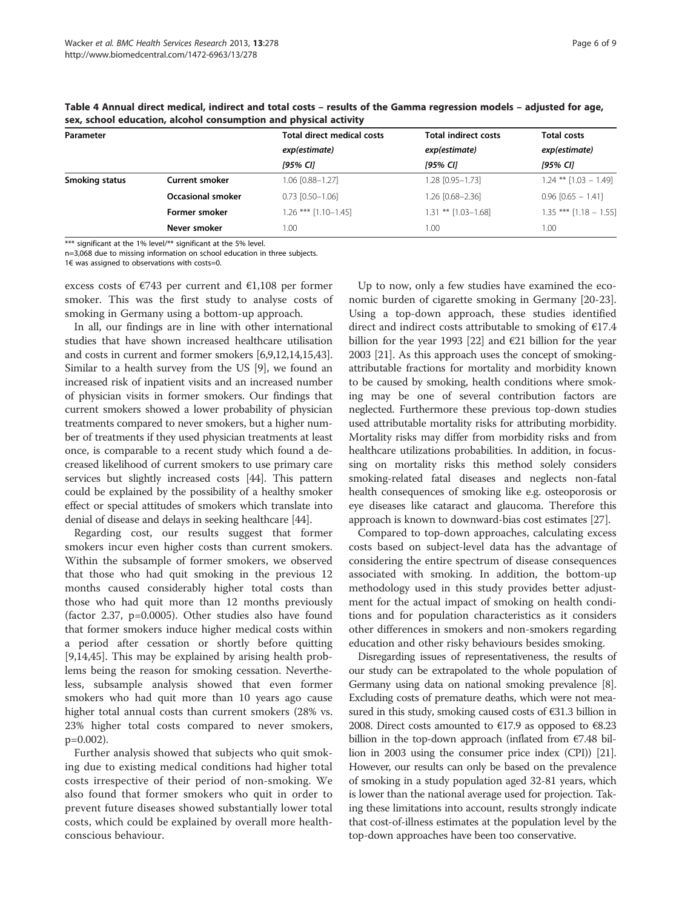| Parameter      |                          | <b>Total direct medical costs</b> | <b>Total indirect costs</b> | <b>Total costs</b><br>exp(estimate) |  |
|----------------|--------------------------|-----------------------------------|-----------------------------|-------------------------------------|--|
|                |                          | exp(estimate)                     | exp(estimate)               |                                     |  |
|                |                          | [95% CI]                          | [95% CI]                    | [95% CI]                            |  |
| Smoking status | <b>Current smoker</b>    | 1.06 [0.88-1.27]                  | 1.28 [0.95-1.73]            | $1.24$ ** $[1.03 - 1.49]$           |  |
|                | <b>Occasional smoker</b> | $0.73$ $[0.50 - 1.06]$            | 1.26 [0.68-2.36]            | $0.96$ $[0.65 - 1.41]$              |  |
|                | Former smoker            | $1.26$ *** $[1.10 - 1.45]$        | $1.31$ ** $[1.03 - 1.68]$   | $1.35$ *** $[1.18 - 1.55]$          |  |
|                | Never smoker             | 1.00                              | 1.00                        | 1.00                                |  |

<span id="page-5-0"></span>Table 4 Annual direct medical, indirect and total costs – results of the Gamma regression models – adjusted for age, sex, school education, alcohol consumption and physical activity

\*\*\* significant at the 1% level/\*\* significant at the 5% level.

n=3,068 due to missing information on school education in three subjects.

1€ was assigned to observations with costs=0.

excess costs of  $\epsilon$ 743 per current and  $\epsilon$ 1,108 per former smoker. This was the first study to analyse costs of smoking in Germany using a bottom-up approach.

In all, our findings are in line with other international studies that have shown increased healthcare utilisation and costs in current and former smokers [\[6,9,12,14,15,](#page-7-0)[43](#page-8-0)]. Similar to a health survey from the US [\[9\]](#page-7-0), we found an increased risk of inpatient visits and an increased number of physician visits in former smokers. Our findings that current smokers showed a lower probability of physician treatments compared to never smokers, but a higher number of treatments if they used physician treatments at least once, is comparable to a recent study which found a decreased likelihood of current smokers to use primary care services but slightly increased costs [[44\]](#page-8-0). This pattern could be explained by the possibility of a healthy smoker effect or special attitudes of smokers which translate into denial of disease and delays in seeking healthcare [[44](#page-8-0)].

Regarding cost, our results suggest that former smokers incur even higher costs than current smokers. Within the subsample of former smokers, we observed that those who had quit smoking in the previous 12 months caused considerably higher total costs than those who had quit more than 12 months previously (factor 2.37, p=0.0005). Other studies also have found that former smokers induce higher medical costs within a period after cessation or shortly before quitting [[9,14,](#page-7-0)[45\]](#page-8-0). This may be explained by arising health problems being the reason for smoking cessation. Nevertheless, subsample analysis showed that even former smokers who had quit more than 10 years ago cause higher total annual costs than current smokers (28% vs. 23% higher total costs compared to never smokers, p=0.002).

Further analysis showed that subjects who quit smoking due to existing medical conditions had higher total costs irrespective of their period of non-smoking. We also found that former smokers who quit in order to prevent future diseases showed substantially lower total costs, which could be explained by overall more healthconscious behaviour.

Up to now, only a few studies have examined the economic burden of cigarette smoking in Germany [\[20](#page-7-0)[-23](#page-8-0)]. Using a top-down approach, these studies identified direct and indirect costs attributable to smoking of €17.4 billion for the year 1993 [[22](#page-8-0)] and  $\epsilon$ 21 billion for the year 2003 [\[21\]](#page-7-0). As this approach uses the concept of smokingattributable fractions for mortality and morbidity known to be caused by smoking, health conditions where smoking may be one of several contribution factors are neglected. Furthermore these previous top-down studies used attributable mortality risks for attributing morbidity. Mortality risks may differ from morbidity risks and from healthcare utilizations probabilities. In addition, in focussing on mortality risks this method solely considers smoking-related fatal diseases and neglects non-fatal health consequences of smoking like e.g. osteoporosis or eye diseases like cataract and glaucoma. Therefore this approach is known to downward-bias cost estimates [[27](#page-8-0)].

Compared to top-down approaches, calculating excess costs based on subject-level data has the advantage of considering the entire spectrum of disease consequences associated with smoking. In addition, the bottom-up methodology used in this study provides better adjustment for the actual impact of smoking on health conditions and for population characteristics as it considers other differences in smokers and non-smokers regarding education and other risky behaviours besides smoking.

Disregarding issues of representativeness, the results of our study can be extrapolated to the whole population of Germany using data on national smoking prevalence [[8](#page-7-0)]. Excluding costs of premature deaths, which were not measured in this study, smoking caused costs of €31.3 billion in 2008. Direct costs amounted to  $E17.9$  as opposed to  $E8.23$ billion in the top-down approach (inflated from €7.48 billion in 2003 using the consumer price index (CPI)) [\[21](#page-7-0)]. However, our results can only be based on the prevalence of smoking in a study population aged 32-81 years, which is lower than the national average used for projection. Taking these limitations into account, results strongly indicate that cost-of-illness estimates at the population level by the top-down approaches have been too conservative.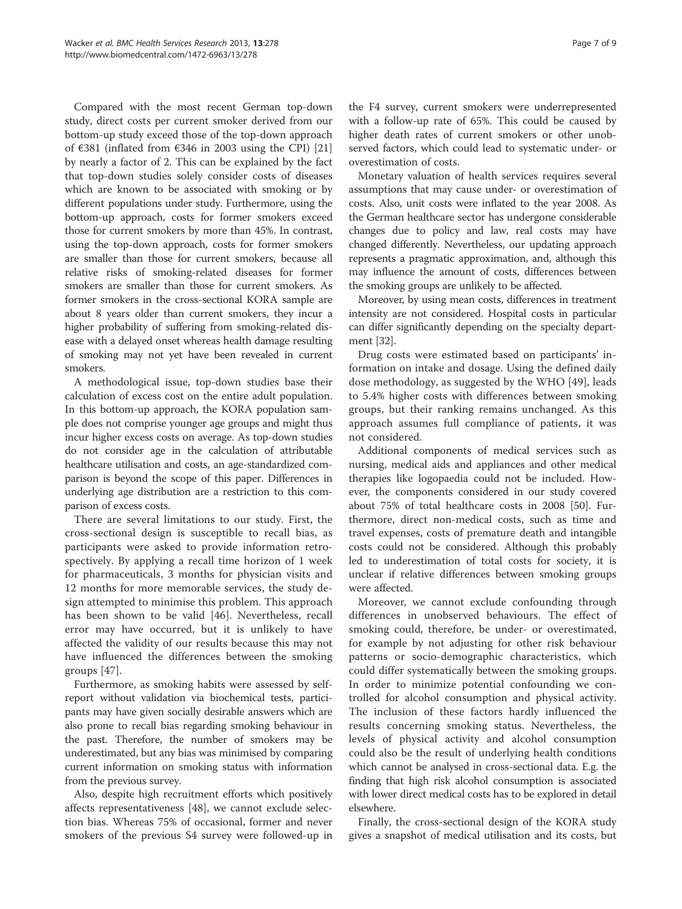Compared with the most recent German top-down study, direct costs per current smoker derived from our bottom-up study exceed those of the top-down approach of €381 (inflated from €346 in 2003 using the CPI) [[21](#page-7-0)] by nearly a factor of 2. This can be explained by the fact that top-down studies solely consider costs of diseases which are known to be associated with smoking or by different populations under study. Furthermore, using the bottom-up approach, costs for former smokers exceed those for current smokers by more than 45%. In contrast, using the top-down approach, costs for former smokers are smaller than those for current smokers, because all relative risks of smoking-related diseases for former smokers are smaller than those for current smokers. As former smokers in the cross-sectional KORA sample are about 8 years older than current smokers, they incur a higher probability of suffering from smoking-related disease with a delayed onset whereas health damage resulting of smoking may not yet have been revealed in current smokers.

A methodological issue, top-down studies base their calculation of excess cost on the entire adult population. In this bottom-up approach, the KORA population sample does not comprise younger age groups and might thus incur higher excess costs on average. As top-down studies do not consider age in the calculation of attributable healthcare utilisation and costs, an age-standardized comparison is beyond the scope of this paper. Differences in underlying age distribution are a restriction to this comparison of excess costs.

There are several limitations to our study. First, the cross-sectional design is susceptible to recall bias, as participants were asked to provide information retrospectively. By applying a recall time horizon of 1 week for pharmaceuticals, 3 months for physician visits and 12 months for more memorable services, the study design attempted to minimise this problem. This approach has been shown to be valid [\[46](#page-8-0)]. Nevertheless, recall error may have occurred, but it is unlikely to have affected the validity of our results because this may not have influenced the differences between the smoking groups [[47](#page-8-0)].

Furthermore, as smoking habits were assessed by selfreport without validation via biochemical tests, participants may have given socially desirable answers which are also prone to recall bias regarding smoking behaviour in the past. Therefore, the number of smokers may be underestimated, but any bias was minimised by comparing current information on smoking status with information from the previous survey.

Also, despite high recruitment efforts which positively affects representativeness [[48\]](#page-8-0), we cannot exclude selection bias. Whereas 75% of occasional, former and never smokers of the previous S4 survey were followed-up in

the F4 survey, current smokers were underrepresented with a follow-up rate of 65%. This could be caused by higher death rates of current smokers or other unobserved factors, which could lead to systematic under- or overestimation of costs.

Monetary valuation of health services requires several assumptions that may cause under- or overestimation of costs. Also, unit costs were inflated to the year 2008. As the German healthcare sector has undergone considerable changes due to policy and law, real costs may have changed differently. Nevertheless, our updating approach represents a pragmatic approximation, and, although this may influence the amount of costs, differences between the smoking groups are unlikely to be affected.

Moreover, by using mean costs, differences in treatment intensity are not considered. Hospital costs in particular can differ significantly depending on the specialty department [\[32\]](#page-8-0).

Drug costs were estimated based on participants' information on intake and dosage. Using the defined daily dose methodology, as suggested by the WHO [[49\]](#page-8-0), leads to 5.4% higher costs with differences between smoking groups, but their ranking remains unchanged. As this approach assumes full compliance of patients, it was not considered.

Additional components of medical services such as nursing, medical aids and appliances and other medical therapies like logopaedia could not be included. However, the components considered in our study covered about 75% of total healthcare costs in 2008 [\[50](#page-8-0)]. Furthermore, direct non-medical costs, such as time and travel expenses, costs of premature death and intangible costs could not be considered. Although this probably led to underestimation of total costs for society, it is unclear if relative differences between smoking groups were affected.

Moreover, we cannot exclude confounding through differences in unobserved behaviours. The effect of smoking could, therefore, be under- or overestimated, for example by not adjusting for other risk behaviour patterns or socio-demographic characteristics, which could differ systematically between the smoking groups. In order to minimize potential confounding we controlled for alcohol consumption and physical activity. The inclusion of these factors hardly influenced the results concerning smoking status. Nevertheless, the levels of physical activity and alcohol consumption could also be the result of underlying health conditions which cannot be analysed in cross-sectional data. E.g. the finding that high risk alcohol consumption is associated with lower direct medical costs has to be explored in detail elsewhere.

Finally, the cross-sectional design of the KORA study gives a snapshot of medical utilisation and its costs, but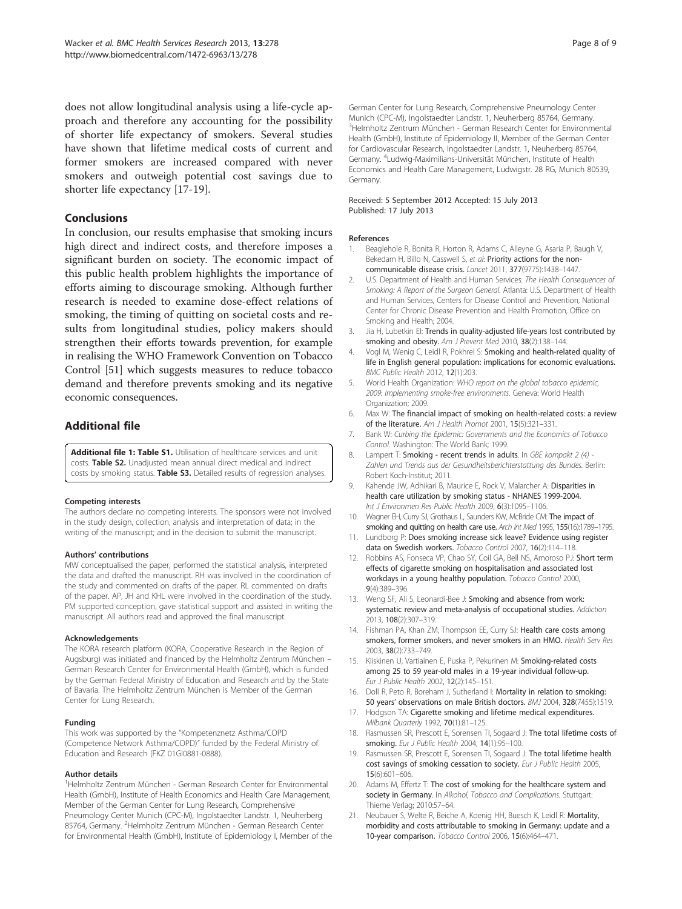<span id="page-7-0"></span>does not allow longitudinal analysis using a life-cycle approach and therefore any accounting for the possibility of shorter life expectancy of smokers. Several studies have shown that lifetime medical costs of current and former smokers are increased compared with never smokers and outweigh potential cost savings due to shorter life expectancy [17-19].

# Conclusions

In conclusion, our results emphasise that smoking incurs high direct and indirect costs, and therefore imposes a significant burden on society. The economic impact of this public health problem highlights the importance of efforts aiming to discourage smoking. Although further research is needed to examine dose-effect relations of smoking, the timing of quitting on societal costs and results from longitudinal studies, policy makers should strengthen their efforts towards prevention, for example in realising the WHO Framework Convention on Tobacco Control [[51](#page-8-0)] which suggests measures to reduce tobacco demand and therefore prevents smoking and its negative economic consequences.

# Additional file

[Additional file 1: Table S1.](http://www.biomedcentral.com/content/supplementary/1472-6963-13-278-S1.doc) Utilisation of healthcare services and unit costs. Table S2. Unadjusted mean annual direct medical and indirect costs by smoking status. Table S3. Detailed results of regression analyses.

#### Competing interests

The authors declare no competing interests. The sponsors were not involved in the study design, collection, analysis and interpretation of data; in the writing of the manuscript; and in the decision to submit the manuscript.

#### Authors' contributions

MW conceptualised the paper, performed the statistical analysis, interpreted the data and drafted the manuscript. RH was involved in the coordination of the study and commented on drafts of the paper. RL commented on drafts of the paper. AP, JH and KHL were involved in the coordination of the study. PM supported conception, gave statistical support and assisted in writing the manuscript. All authors read and approved the final manuscript.

#### Acknowledgements

The KORA research platform (KORA, Cooperative Research in the Region of Augsburg) was initiated and financed by the Helmholtz Zentrum München – German Research Center for Environmental Health (GmbH), which is funded by the German Federal Ministry of Education and Research and by the State of Bavaria. The Helmholtz Zentrum München is Member of the German Center for Lung Research.

#### Funding

This work was supported by the "Kompetenznetz Asthma/COPD (Competence Network Asthma/COPD)" funded by the Federal Ministry of Education and Research (FKZ 01GI0881-0888).

#### Author details

<sup>1</sup>Helmholtz Zentrum München - German Research Center for Environmental Health (GmbH), Institute of Health Economics and Health Care Management, Member of the German Center for Lung Research, Comprehensive Pneumology Center Munich (CPC-M), Ingolstaedter Landstr. 1, Neuherberg 85764, Germany. <sup>2</sup>Helmholtz Zentrum München - German Research Center for Environmental Health (GmbH), Institute of Epidemiology I, Member of the

German Center for Lung Research, Comprehensive Pneumology Center Munich (CPC-M), Ingolstaedter Landstr. 1, Neuherberg 85764, Germany. <sup>3</sup>Helmholtz Zentrum München - German Research Center for Environmental Health (GmbH), Institute of Epidemiology II, Member of the German Center for Cardiovascular Research, Ingolstaedter Landstr. 1, Neuherberg 85764, Germany. <sup>4</sup> Ludwig-Maximilians-Universität München, Institute of Health Economics and Health Care Management, Ludwigstr. 28 RG, Munich 80539, Germany.

#### Received: 5 September 2012 Accepted: 15 July 2013 Published: 17 July 2013

#### References

- 1. Beaglehole R, Bonita R, Horton R, Adams C, Alleyne G, Asaria P, Baugh V, Bekedam H, Billo N, Casswell S, et al: Priority actions for the noncommunicable disease crisis. Lancet 2011, 377(9775):1438–1447.
- 2. U.S. Department of Health and Human Services: The Health Consequences of Smoking: A Report of the Surgeon General. Atlanta: U.S. Department of Health and Human Services, Centers for Disease Control and Prevention, National Center for Chronic Disease Prevention and Health Promotion, Office on Smoking and Health; 2004.
- 3. Jia H, Lubetkin EI: Trends in quality-adjusted life-years lost contributed by smoking and obesity. Am J Prevent Med 2010, 38(2):138-144.
- 4. Vogl M, Wenig C, Leidl R, Pokhrel S: Smoking and health-related quality of life in English general population: implications for economic evaluations. BMC Public Health 2012, 12(1):203.
- 5. World Health Organization: WHO report on the global tobacco epidemic, 2009: Implementing smoke-free environments. Geneva: World Health Organization; 2009.
- 6. Max W: The financial impact of smoking on health-related costs: a review of the literature. Am J Health Promot 2001, 15(5):321–331.
- 7. Bank W: Curbing the Epidemic: Governments and the Economics of Tobacco Control. Washington: The World Bank; 1999.
- 8. Lampert T: Smoking recent trends in adults. In GBE kompakt 2 (4) -Zahlen und Trends aus der Gesundheitsberichterstattung des Bundes. Berlin: Robert Koch-Institut; 2011.
- 9. Kahende JW, Adhikari B, Maurice E, Rock V, Malarcher A: Disparities in health care utilization by smoking status - NHANES 1999-2004. Int J Environmen Res Public Health 2009, 6(3):1095-1106.
- 10. Wagner EH, Curry SJ, Grothaus L, Saunders KW, McBride CM: The impact of smoking and quitting on health care use. Arch Int Med 1995, 155(16):1789-1795.
- 11. Lundborg P: Does smoking increase sick leave? Evidence using register data on Swedish workers. Tobacco Control 2007, 16(2):114–118.
- 12. Robbins AS, Fonseca VP, Chao SY, Coil GA, Bell NS, Amoroso PJ: Short term effects of cigarette smoking on hospitalisation and associated lost workdays in a young healthy population. Tobacco Control 2000, 9(4):389–396.
- 13. Weng SF, Ali S, Leonardi-Bee J: Smoking and absence from work: systematic review and meta-analysis of occupational studies. Addiction 2013, 108(2):307–319.
- 14. Fishman PA, Khan ZM, Thompson EE, Curry SJ: Health care costs among smokers, former smokers, and never smokers in an HMO. Health Serv Res 2003, 38(2):733–749.
- 15. Kiiskinen U, Vartiainen E, Puska P, Pekurinen M: Smoking-related costs among 25 to 59 year-old males in a 19-year individual follow-up. Eur J Public Health 2002, 12(2):145–151.
- 16. Doll R, Peto R, Boreham J, Sutherland I: Mortality in relation to smoking: 50 years' observations on male British doctors. BMJ 2004, 328(7455):1519.
- 17. Hodgson TA: Cigarette smoking and lifetime medical expenditures. Milbank Quarterly 1992, 70(1):81–125.
- 18. Rasmussen SR, Prescott E, Sorensen TI, Sogaard J: The total lifetime costs of smoking. Eur J Public Health 2004, 14(1):95–100.
- 19. Rasmussen SR, Prescott E, Sorensen TI, Sogaard J: The total lifetime health cost savings of smoking cessation to society. Eur J Public Health 2005, 15(6):601–606.
- 20. Adams M, Effertz T: The cost of smoking for the healthcare system and society in Germany. In Alkohol, Tobacco and Complications. Stuttgart: Thieme Verlag; 2010:57–64.
- 21. Neubauer S, Welte R, Beiche A, Koenig HH, Buesch K, Leidl R: Mortality, morbidity and costs attributable to smoking in Germany: update and a 10-year comparison. Tobacco Control 2006, 15(6):464–471.